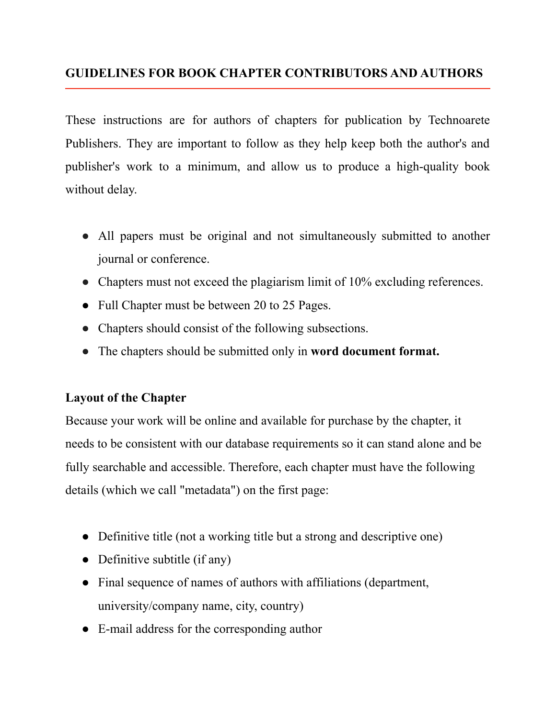# **GUIDELINES FOR BOOK CHAPTER CONTRIBUTORS AND AUTHORS**

These instructions are for authors of chapters for publication by Technoarete Publishers. They are important to follow as they help keep both the author's and publisher's work to a minimum, and allow us to produce a high-quality book without delay.

- All papers must be original and not simultaneously submitted to another journal or conference.
- Chapters must not exceed the plagiarism limit of 10% excluding references.
- Full Chapter must be between 20 to 25 Pages.
- Chapters should consist of the following subsections.
- The chapters should be submitted only in **word document format.**

## **Layout of the Chapter**

Because your work will be online and available for purchase by the chapter, it needs to be consistent with our database requirements so it can stand alone and be fully searchable and accessible. Therefore, each chapter must have the following details (which we call "metadata") on the first page:

- Definitive title (not a working title but a strong and descriptive one)
- Definitive subtitle (if any)
- Final sequence of names of authors with affiliations (department, university/company name, city, country)
- E-mail address for the corresponding author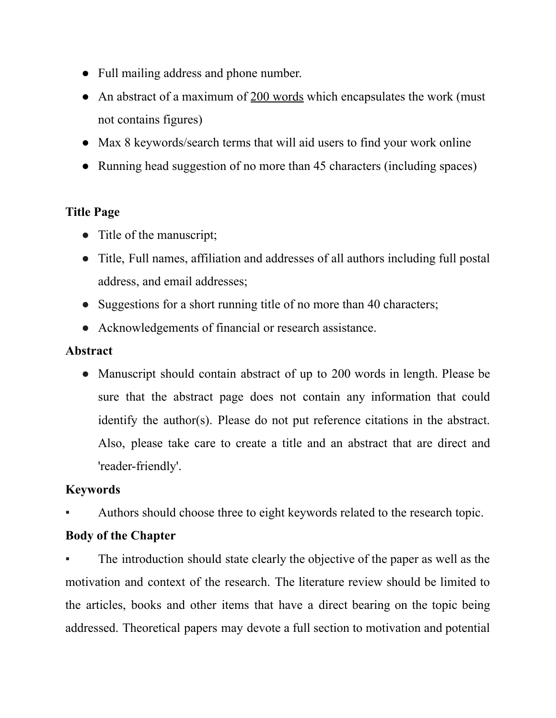- Full mailing address and phone number.
- An abstract of a maximum of 200 words which encapsulates the work (must not contains figures)
- Max 8 keywords/search terms that will aid users to find your work online
- Running head suggestion of no more than 45 characters (including spaces)

## **Title Page**

- Title of the manuscript;
- Title, Full names, affiliation and addresses of all authors including full postal address, and email addresses;
- Suggestions for a short running title of no more than 40 characters;
- Acknowledgements of financial or research assistance.

## **Abstract**

• Manuscript should contain abstract of up to 200 words in length. Please be sure that the abstract page does not contain any information that could identify the author(s). Please do not put reference citations in the abstract. Also, please take care to create a title and an abstract that are direct and 'reader-friendly'.

# **Keywords**

Authors should choose three to eight keywords related to the research topic.

# **Body of the Chapter**

The introduction should state clearly the objective of the paper as well as the motivation and context of the research. The literature review should be limited to the articles, books and other items that have a direct bearing on the topic being addressed. Theoretical papers may devote a full section to motivation and potential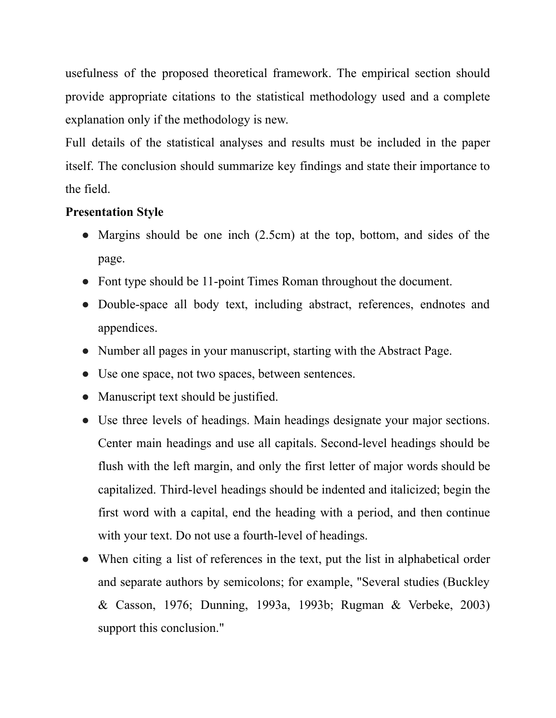usefulness of the proposed theoretical framework. The empirical section should provide appropriate citations to the statistical methodology used and a complete explanation only if the methodology is new.

Full details of the statistical analyses and results must be included in the paper itself. The conclusion should summarize key findings and state their importance to the field.

## **Presentation Style**

- Margins should be one inch (2.5cm) at the top, bottom, and sides of the page.
- Font type should be 11-point Times Roman throughout the document.
- Double-space all body text, including abstract, references, endnotes and appendices.
- Number all pages in your manuscript, starting with the Abstract Page.
- Use one space, not two spaces, between sentences.
- Manuscript text should be justified.
- Use three levels of headings. Main headings designate your major sections. Center main headings and use all capitals. Second-level headings should be flush with the left margin, and only the first letter of major words should be capitalized. Third-level headings should be indented and italicized; begin the first word with a capital, end the heading with a period, and then continue with your text. Do not use a fourth-level of headings.
- When citing a list of references in the text, put the list in alphabetical order and separate authors by semicolons; for example, "Several studies (Buckley & Casson, 1976; Dunning, 1993a, 1993b; Rugman & Verbeke, 2003) support this conclusion."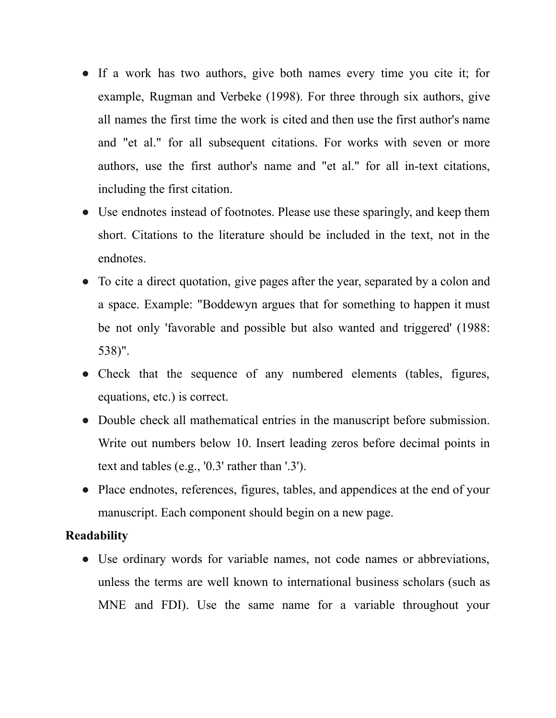- If a work has two authors, give both names every time you cite it; for example, Rugman and Verbeke (1998). For three through six authors, give all names the first time the work is cited and then use the first author's name and "et al." for all subsequent citations. For works with seven or more authors, use the first author's name and "et al." for all in-text citations, including the first citation.
- Use endnotes instead of footnotes. Please use these sparingly, and keep them short. Citations to the literature should be included in the text, not in the endnotes.
- To cite a direct quotation, give pages after the year, separated by a colon and a space. Example: "Boddewyn argues that for something to happen it must be not only 'favorable and possible but also wanted and triggered' (1988: 538)".
- Check that the sequence of any numbered elements (tables, figures, equations, etc.) is correct.
- Double check all mathematical entries in the manuscript before submission. Write out numbers below 10. Insert leading zeros before decimal points in text and tables (e.g., '0.3' rather than '.3').
- Place endnotes, references, figures, tables, and appendices at the end of your manuscript. Each component should begin on a new page.

#### **Readability**

• Use ordinary words for variable names, not code names or abbreviations, unless the terms are well known to international business scholars (such as MNE and FDI). Use the same name for a variable throughout your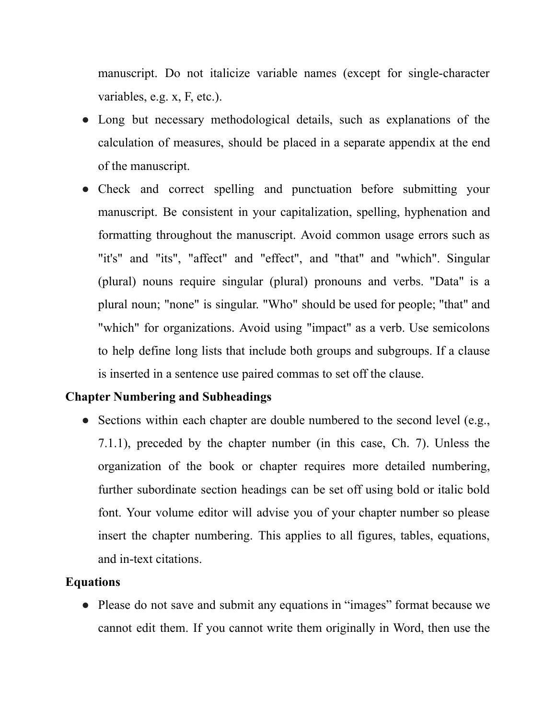manuscript. Do not italicize variable names (except for single-character variables, e.g. x, F, etc.).

- Long but necessary methodological details, such as explanations of the calculation of measures, should be placed in a separate appendix at the end of the manuscript.
- Check and correct spelling and punctuation before submitting your manuscript. Be consistent in your capitalization, spelling, hyphenation and formatting throughout the manuscript. Avoid common usage errors such as "it's" and "its", "affect" and "effect", and "that" and "which". Singular (plural) nouns require singular (plural) pronouns and verbs. "Data" is a plural noun; "none" is singular. "Who" should be used for people; "that" and "which" for organizations. Avoid using "impact" as a verb. Use semicolons to help define long lists that include both groups and subgroups. If a clause is inserted in a sentence use paired commas to set off the clause.

#### **Chapter Numbering and Subheadings**

• Sections within each chapter are double numbered to the second level (e.g., 7.1.1), preceded by the chapter number (in this case, Ch. 7). Unless the organization of the book or chapter requires more detailed numbering, further subordinate section headings can be set off using bold or italic bold font. Your volume editor will advise you of your chapter number so please insert the chapter numbering. This applies to all figures, tables, equations, and in-text citations.

#### **Equations**

● Please do not save and submit any equations in "images" format because we cannot edit them. If you cannot write them originally in Word, then use the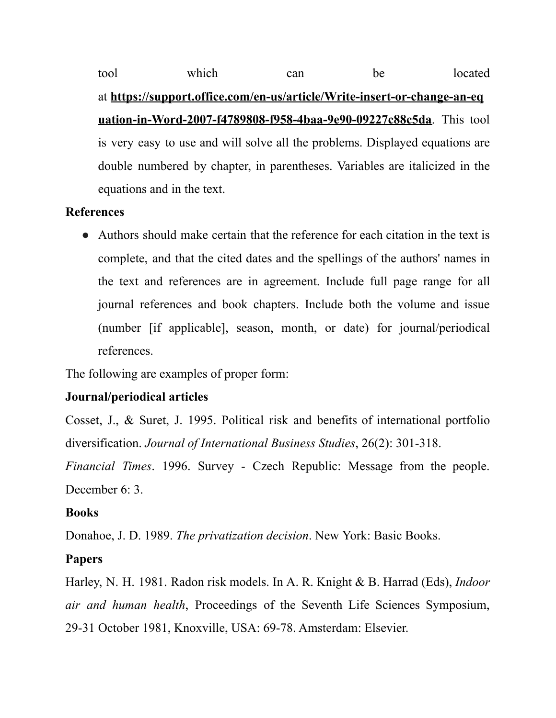tool which can be located at **[https://support.office.com/en-us/article/Write-insert-or-change-an-eq](https://support.office.com/en-us/article/Write-insert-or-change-an-equation-in-Word-2007-f4789808-f958-4baa-9e90-09227c88c5da) [uation-in-Word-2007-f4789808-f958-4baa-9e90-09227c88c5da](https://support.office.com/en-us/article/Write-insert-or-change-an-equation-in-Word-2007-f4789808-f958-4baa-9e90-09227c88c5da)**. This tool is very easy to use and will solve all the problems. Displayed equations are double numbered by chapter, in parentheses. Variables are italicized in the equations and in the text.

#### **References**

● Authors should make certain that the reference for each citation in the text is complete, and that the cited dates and the spellings of the authors' names in the text and references are in agreement. Include full page range for all journal references and book chapters. Include both the volume and issue (number [if applicable], season, month, or date) for journal/periodical references.

The following are examples of proper form:

#### **Journal/periodical articles**

Cosset, J., & Suret, J. 1995. Political risk and benefits of international portfolio diversification. *Journal of International Business Studies*, 26(2): 301-318.

*Financial Times*. 1996. Survey - Czech Republic: Message from the people. December 6: 3.

#### **Books**

Donahoe, J. D. 1989. *The privatization decision*. New York: Basic Books.

#### **Papers**

Harley, N. H. 1981. Radon risk models. In A. R. Knight & B. Harrad (Eds), *Indoor air and human health*, Proceedings of the Seventh Life Sciences Symposium, 29-31 October 1981, Knoxville, USA: 69-78. Amsterdam: Elsevier.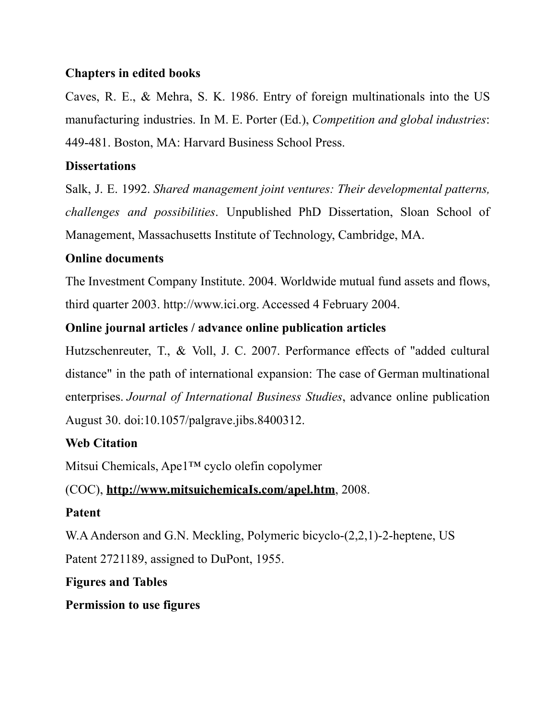## **Chapters in edited books**

Caves, R. E., & Mehra, S. K. 1986. Entry of foreign multinationals into the US manufacturing industries. In M. E. Porter (Ed.), *Competition and global industries*: 449-481. Boston, MA: Harvard Business School Press.

## **Dissertations**

Salk, J. E. 1992. *Shared management joint ventures: Their developmental patterns, challenges and possibilities*. Unpublished PhD Dissertation, Sloan School of Management, Massachusetts Institute of Technology, Cambridge, MA.

## **Online documents**

The Investment Company Institute. 2004. Worldwide mutual fund assets and flows, third quarter 2003. http://www.ici.org. Accessed 4 February 2004.

## **Online journal articles / advance online publication articles**

Hutzschenreuter, T., & Voll, J. C. 2007. Performance effects of "added cultural distance" in the path of international expansion: The case of German multinational enterprises. *Journal of International Business Studies*, advance online publication August 30. doi:10.1057/palgrave.jibs.8400312.

## **Web Citation**

Mitsui Chemicals, Ape1™ cyclo olefin copolymer

# (COC), **[http://www.mitsuichemicaIs.com/apel.htm](http://www.mitsuichemicais.com/apel.htm)**, 2008.

## **Patent**

W.AAnderson and G.N. Meckling, Polymeric bicyclo-(2,2,1)-2-heptene, US Patent 2721189, assigned to DuPont, 1955.

# **Figures and Tables**

**Permission to use figures**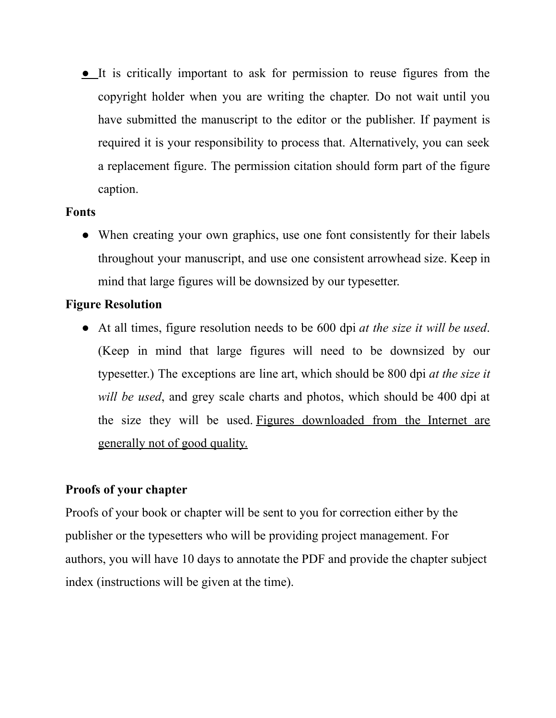● It is critically important to ask for permission to reuse figures from the copyright holder when you are writing the chapter. Do not wait until you have submitted the manuscript to the editor or the publisher. If payment is required it is your responsibility to process that. Alternatively, you can seek a replacement figure. The permission citation should form part of the figure caption.

#### **Fonts**

• When creating your own graphics, use one font consistently for their labels throughout your manuscript, and use one consistent arrowhead size. Keep in mind that large figures will be downsized by our typesetter.

#### **Figure Resolution**

● At all times, figure resolution needs to be 600 dpi *at the size it will be used*. (Keep in mind that large figures will need to be downsized by our typesetter.) The exceptions are line art, which should be 800 dpi *at the size it will be used*, and grey scale charts and photos, which should be 400 dpi at the size they will be used. Figures downloaded from the Internet are generally not of good quality.

## **Proofs of your chapter**

Proofs of your book or chapter will be sent to you for correction either by the publisher or the typesetters who will be providing project management. For authors, you will have 10 days to annotate the PDF and provide the chapter subject index (instructions will be given at the time).